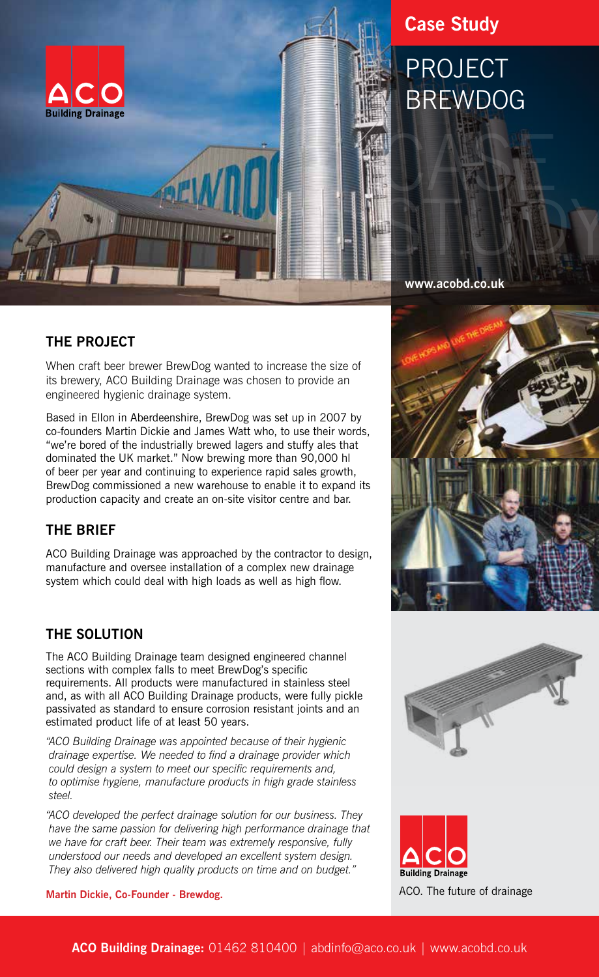

## **Case Study**

# PROJECT **BREWDOG**

**www.acobd.co.uk**

### **THE PROJECT**

When craft beer brewer BrewDog wanted to increase the size of its brewery, ACO Building Drainage was chosen to provide an engineered hygienic drainage system.

Based in Ellon in Aberdeenshire, BrewDog was set up in 2007 by co-founders Martin Dickie and James Watt who, to use their words, "we're bored of the industrially brewed lagers and stuffy ales that dominated the UK market." Now brewing more than 90,000 hl of beer per year and continuing to experience rapid sales growth, BrewDog commissioned a new warehouse to enable it to expand its production capacity and create an on-site visitor centre and bar.

### **THE BRIEF**

ACO Building Drainage was approached by the contractor to design, manufacture and oversee installation of a complex new drainage system which could deal with high loads as well as high flow.

#### **THE SOLUTION**

The ACO Building Drainage team designed engineered channel sections with complex falls to meet BrewDog's specific requirements. All products were manufactured in stainless steel and, as with all ACO Building Drainage products, were fully pickle passivated as standard to ensure corrosion resistant joints and an estimated product life of at least 50 years.

*"ACO Building Drainage was appointed because of their hygienic drainage expertise. We needed to find a drainage provider which could design a system to meet our specific requirements and, to optimise hygiene, manufacture products in high grade stainless steel.*

*"ACO developed the perfect drainage solution for our business. They have the same passion for delivering high performance drainage that we have for craft beer. Their team was extremely responsive, fully understood our needs and developed an excellent system design. They also delivered high quality products on time and on budget."*

**Martin Dickie, Co-Founder - Brewdog.**